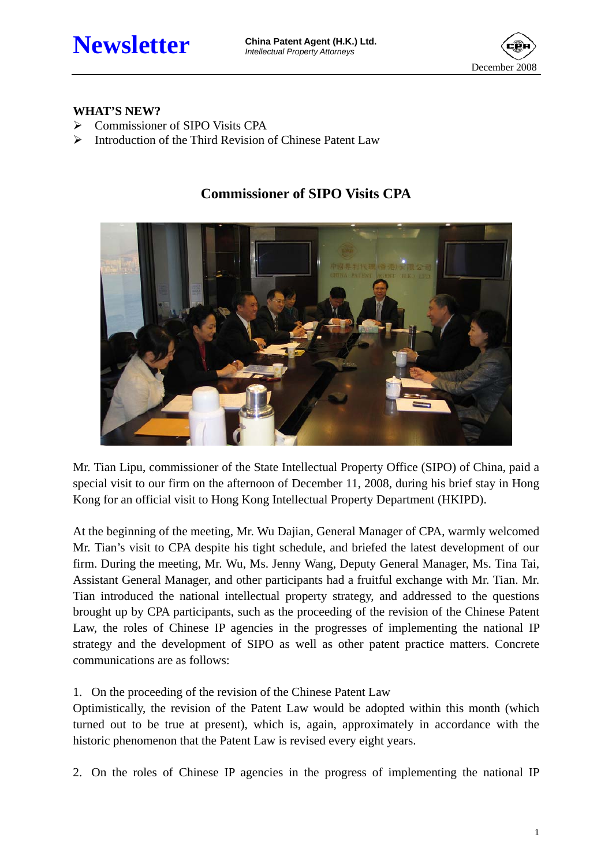

#### **WHAT'S NEW?**

- ¾ Commissioner of SIPO Visits CPA
- ¾ Introduction of the Third Revision of Chinese Patent Law

# **Commissioner of SIPO Visits CPA**



Mr. Tian Lipu, commissioner of the State Intellectual Property Office (SIPO) of China, paid a special visit to our firm on the afternoon of December 11, 2008, during his brief stay in Hong Kong for an official visit to Hong Kong Intellectual Property Department (HKIPD).

At the beginning of the meeting, Mr. Wu Dajian, General Manager of CPA, warmly welcomed Mr. Tian's visit to CPA despite his tight schedule, and briefed the latest development of our firm. During the meeting, Mr. Wu, Ms. Jenny Wang, Deputy General Manager, Ms. Tina Tai, Assistant General Manager, and other participants had a fruitful exchange with Mr. Tian. Mr. Tian introduced the national intellectual property strategy, and addressed to the questions brought up by CPA participants, such as the proceeding of the revision of the Chinese Patent Law, the roles of Chinese IP agencies in the progresses of implementing the national IP strategy and the development of SIPO as well as other patent practice matters. Concrete communications are as follows:

1. On the proceeding of the revision of the Chinese Patent Law

Optimistically, the revision of the Patent Law would be adopted within this month (which turned out to be true at present), which is, again, approximately in accordance with the historic phenomenon that the Patent Law is revised every eight years.

2. On the roles of Chinese IP agencies in the progress of implementing the national IP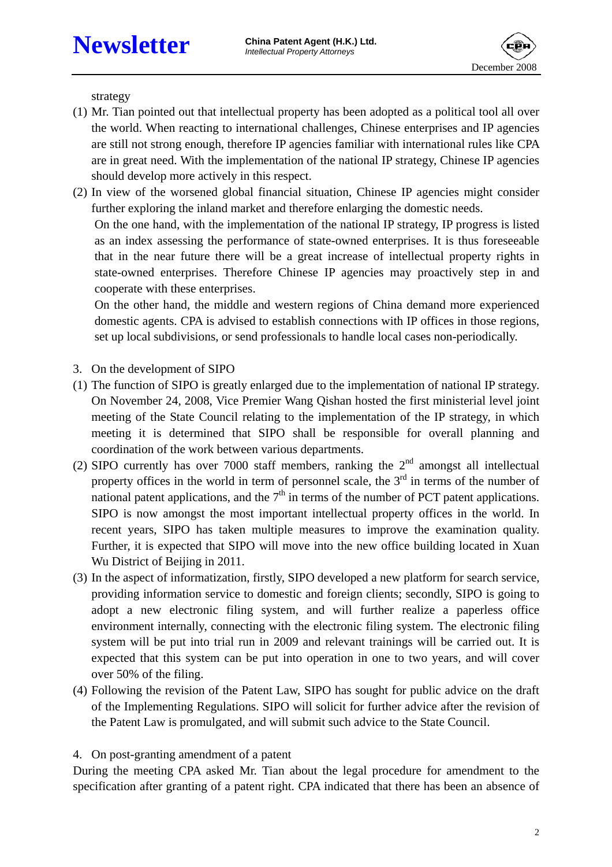

strategy

- (1) Mr. Tian pointed out that intellectual property has been adopted as a political tool all over the world. When reacting to international challenges, Chinese enterprises and IP agencies are still not strong enough, therefore IP agencies familiar with international rules like CPA are in great need. With the implementation of the national IP strategy, Chinese IP agencies should develop more actively in this respect.
- (2) In view of the worsened global financial situation, Chinese IP agencies might consider further exploring the inland market and therefore enlarging the domestic needs.

On the one hand, with the implementation of the national IP strategy, IP progress is listed as an index assessing the performance of state-owned enterprises. It is thus foreseeable that in the near future there will be a great increase of intellectual property rights in state-owned enterprises. Therefore Chinese IP agencies may proactively step in and cooperate with these enterprises.

On the other hand, the middle and western regions of China demand more experienced domestic agents. CPA is advised to establish connections with IP offices in those regions, set up local subdivisions, or send professionals to handle local cases non-periodically.

- 3. On the development of SIPO
- (1) The function of SIPO is greatly enlarged due to the implementation of national IP strategy. On November 24, 2008, Vice Premier Wang Qishan hosted the first ministerial level joint meeting of the State Council relating to the implementation of the IP strategy, in which meeting it is determined that SIPO shall be responsible for overall planning and coordination of the work between various departments.
- (2) SIPO currently has over 7000 staff members, ranking the  $2<sup>nd</sup>$  amongst all intellectual property offices in the world in term of personnel scale, the  $3<sup>rd</sup>$  in terms of the number of national patent applications, and the  $7<sup>th</sup>$  in terms of the number of PCT patent applications. SIPO is now amongst the most important intellectual property offices in the world. In recent years, SIPO has taken multiple measures to improve the examination quality. Further, it is expected that SIPO will move into the new office building located in Xuan Wu District of Beijing in 2011.
- (3) In the aspect of informatization, firstly, SIPO developed a new platform for search service, providing information service to domestic and foreign clients; secondly, SIPO is going to adopt a new electronic filing system, and will further realize a paperless office environment internally, connecting with the electronic filing system. The electronic filing system will be put into trial run in 2009 and relevant trainings will be carried out. It is expected that this system can be put into operation in one to two years, and will cover over 50% of the filing.
- (4) Following the revision of the Patent Law, SIPO has sought for public advice on the draft of the Implementing Regulations. SIPO will solicit for further advice after the revision of the Patent Law is promulgated, and will submit such advice to the State Council.

#### 4. On post-granting amendment of a patent

During the meeting CPA asked Mr. Tian about the legal procedure for amendment to the specification after granting of a patent right. CPA indicated that there has been an absence of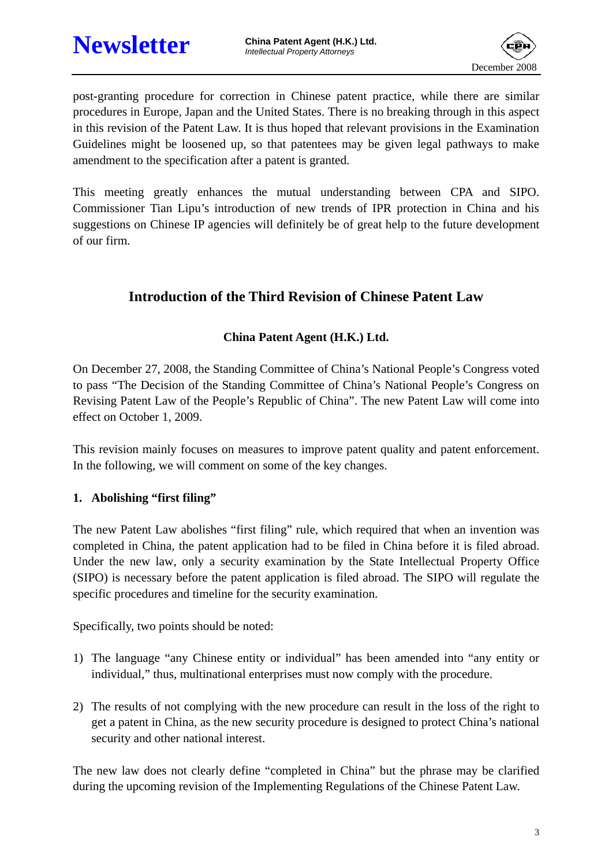

post-granting procedure for correction in Chinese patent practice, while there are similar procedures in Europe, Japan and the United States. There is no breaking through in this aspect in this revision of the Patent Law. It is thus hoped that relevant provisions in the Examination Guidelines might be loosened up, so that patentees may be given legal pathways to make amendment to the specification after a patent is granted.

This meeting greatly enhances the mutual understanding between CPA and SIPO. Commissioner Tian Lipu's introduction of new trends of IPR protection in China and his suggestions on Chinese IP agencies will definitely be of great help to the future development of our firm.

## **Introduction of the Third Revision of Chinese Patent Law**

### **China Patent Agent (H.K.) Ltd.**

On December 27, 2008, the Standing Committee of China's National People's Congress voted to pass "The Decision of the Standing Committee of China's National People's Congress on Revising Patent Law of the People's Republic of China". The new Patent Law will come into effect on October 1, 2009.

This revision mainly focuses on measures to improve patent quality and patent enforcement. In the following, we will comment on some of the key changes.

### **1. Abolishing "first filing"**

The new Patent Law abolishes "first filing" rule, which required that when an invention was completed in China, the patent application had to be filed in China before it is filed abroad. Under the new law, only a security examination by the State Intellectual Property Office (SIPO) is necessary before the patent application is filed abroad. The SIPO will regulate the specific procedures and timeline for the security examination.

Specifically, two points should be noted:

- 1) The language "any Chinese entity or individual" has been amended into "any entity or individual," thus, multinational enterprises must now comply with the procedure.
- 2) The results of not complying with the new procedure can result in the loss of the right to get a patent in China, as the new security procedure is designed to protect China's national security and other national interest.

The new law does not clearly define "completed in China" but the phrase may be clarified during the upcoming revision of the Implementing Regulations of the Chinese Patent Law.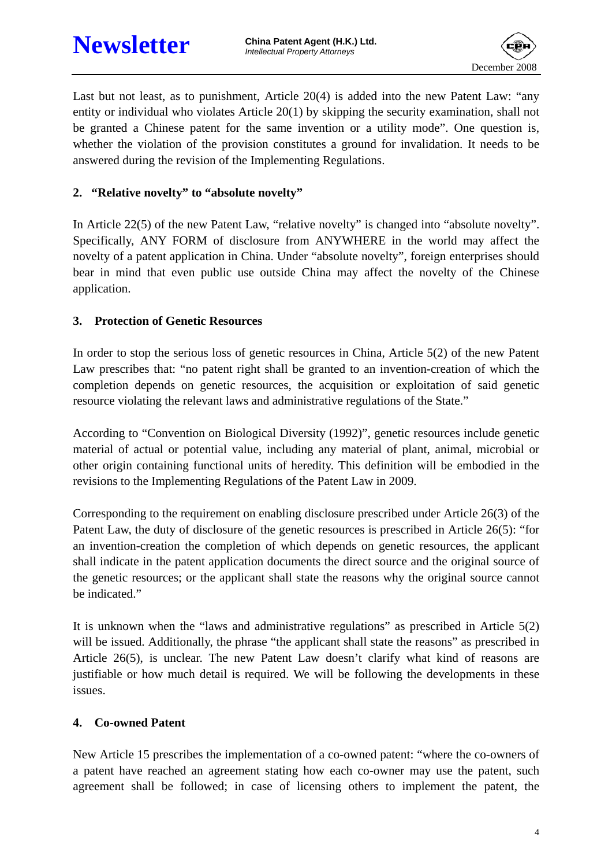

Last but not least, as to punishment, Article 20(4) is added into the new Patent Law: "any entity or individual who violates Article 20(1) by skipping the security examination, shall not be granted a Chinese patent for the same invention or a utility mode". One question is, whether the violation of the provision constitutes a ground for invalidation. It needs to be answered during the revision of the Implementing Regulations.

#### **2. "Relative novelty" to "absolute novelty"**

In Article 22(5) of the new Patent Law, "relative novelty" is changed into "absolute novelty". Specifically, ANY FORM of disclosure from ANYWHERE in the world may affect the novelty of a patent application in China. Under "absolute novelty", foreign enterprises should bear in mind that even public use outside China may affect the novelty of the Chinese application.

#### **3. Protection of Genetic Resources**

In order to stop the serious loss of genetic resources in China, Article 5(2) of the new Patent Law prescribes that: "no patent right shall be granted to an invention-creation of which the completion depends on genetic resources, the acquisition or exploitation of said genetic resource violating the relevant laws and administrative regulations of the State."

According to "Convention on Biological Diversity (1992)", genetic resources include genetic material of actual or potential value, including any material of plant, animal, microbial or other origin containing functional units of heredity. This definition will be embodied in the revisions to the Implementing Regulations of the Patent Law in 2009.

Corresponding to the requirement on enabling disclosure prescribed under Article 26(3) of the Patent Law, the duty of disclosure of the genetic resources is prescribed in Article 26(5): "for an invention-creation the completion of which depends on genetic resources, the applicant shall indicate in the patent application documents the direct source and the original source of the genetic resources; or the applicant shall state the reasons why the original source cannot be indicated."

It is unknown when the "laws and administrative regulations" as prescribed in Article 5(2) will be issued. Additionally, the phrase "the applicant shall state the reasons" as prescribed in Article 26(5), is unclear. The new Patent Law doesn't clarify what kind of reasons are justifiable or how much detail is required. We will be following the developments in these issues.

#### **4. Co-owned Patent**

New Article 15 prescribes the implementation of a co-owned patent: "where the co-owners of a patent have reached an agreement stating how each co-owner may use the patent, such agreement shall be followed; in case of licensing others to implement the patent, the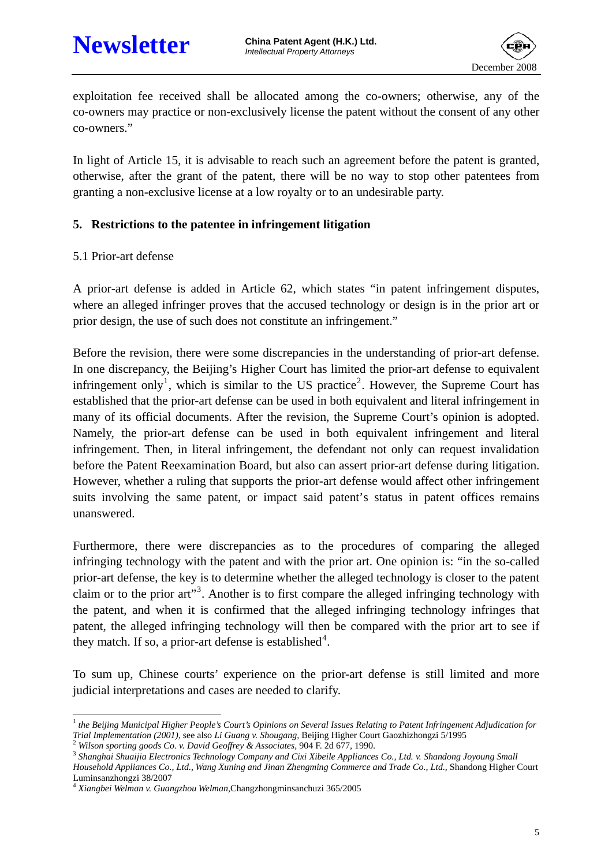

exploitation fee received shall be allocated among the co-owners; otherwise, any of the co-owners may practice or non-exclusively license the patent without the consent of any other co-owners."

In light of Article 15, it is advisable to reach such an agreement before the patent is granted, otherwise, after the grant of the patent, there will be no way to stop other patentees from granting a non-exclusive license at a low royalty or to an undesirable party.

#### **5. Restrictions to the patentee in infringement litigation**

#### 5.1 Prior-art defense

A prior-art defense is added in Article 62, which states "in patent infringement disputes, where an alleged infringer proves that the accused technology or design is in the prior art or prior design, the use of such does not constitute an infringement."

Before the revision, there were some discrepancies in the understanding of prior-art defense. In one discrepancy, the Beijing's Higher Court has limited the prior-art defense to equivalent infringement only<sup>[1](#page-4-0)</sup>, which is similar to the US practice<sup>[2](#page-4-1)</sup>. However, the Supreme Court has established that the prior-art defense can be used in both equivalent and literal infringement in many of its official documents. After the revision, the Supreme Court's opinion is adopted. Namely, the prior-art defense can be used in both equivalent infringement and literal infringement. Then, in literal infringement, the defendant not only can request invalidation before the Patent Reexamination Board, but also can assert prior-art defense during litigation. However, whether a ruling that supports the prior-art defense would affect other infringement suits involving the same patent, or impact said patent's status in patent offices remains unanswered.

Furthermore, there were discrepancies as to the procedures of comparing the alleged infringing technology with the patent and with the prior art. One opinion is: "in the so-called prior-art defense, the key is to determine whether the alleged technology is closer to the patent claim or to the prior art"<sup>[3](#page-4-2)</sup>. Another is to first compare the alleged infringing technology with the patent, and when it is confirmed that the alleged infringing technology infringes that patent, the alleged infringing technology will then be compared with the prior art to see if they match. If so, a prior-art defense is established<sup>[4](#page-4-3)</sup>.

To sum up, Chinese courts' experience on the prior-art defense is still limited and more judicial interpretations and cases are needed to clarify.

<span id="page-4-0"></span> $\overline{a}$ <sup>1</sup> the Beijing Municipal Higher People's Court's Opinions on Several Issues Relating to Patent Infringement Adjudication for Trial Implementation (2001), see also Li Guang v. Shougang, Beijing Higher Court Gaozhizhongzi 5/1995<br>
<sup>2</sup> Wilson sporting goods Co. v. David Geoffrey & Associates, 904 F. 2d 677, 1990.<br>
<sup>3</sup> Shanghai Shuaijia Electronics T

<span id="page-4-1"></span>

<span id="page-4-2"></span>Household Appliances Co., Ltd., Wang Xuning and Jinan Zhengming Commerce and Trade Co., Ltd., Shandong Higher Court Luminsanzhongzi 38/2007

<span id="page-4-3"></span><sup>4</sup> *Xiangbei Welman v. Guangzhou Welman,*Changzhongminsanchuzi 365/2005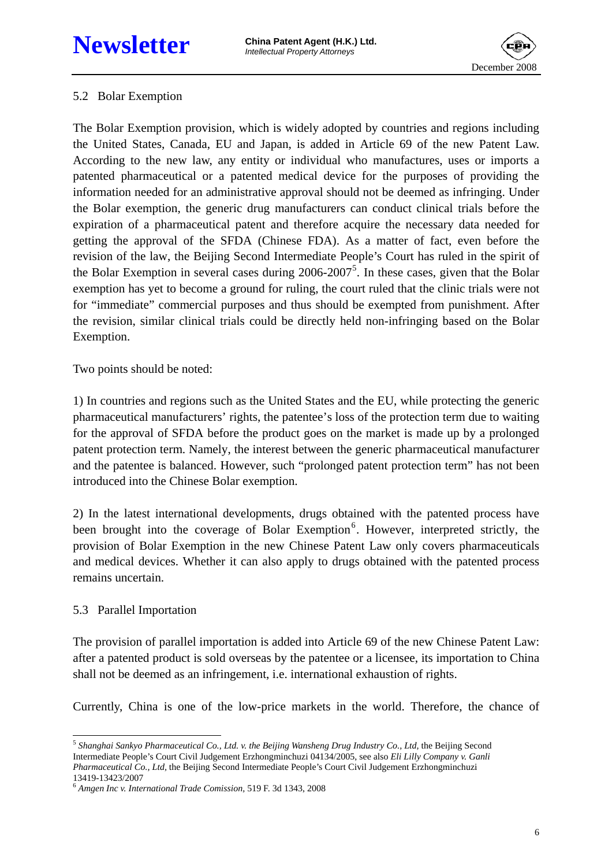# **Newsletter China Patent Agent (H.K.) Ltd.**



#### 5.2 Bolar Exemption

The Bolar Exemption provision, which is widely adopted by countries and regions including the United States, Canada, EU and Japan, is added in Article 69 of the new Patent Law. According to the new law, any entity or individual who manufactures, uses or imports a patented pharmaceutical or a patented medical device for the purposes of providing the information needed for an administrative approval should not be deemed as infringing. Under the Bolar exemption, the generic drug manufacturers can conduct clinical trials before the expiration of a pharmaceutical patent and therefore acquire the necessary data needed for getting the approval of the SFDA (Chinese FDA). As a matter of fact, even before the revision of the law, the Beijing Second Intermediate People's Court has ruled in the spirit of the Bolar Exemption in several cases during 2006-2007<sup>[5](#page-5-0)</sup>. In these cases, given that the Bolar exemption has yet to become a ground for ruling, the court ruled that the clinic trials were not for "immediate" commercial purposes and thus should be exempted from punishment. After the revision, similar clinical trials could be directly held non-infringing based on the Bolar Exemption.

Two points should be noted:

1) In countries and regions such as the United States and the EU, while protecting the generic pharmaceutical manufacturers' rights, the patentee's loss of the protection term due to waiting for the approval of SFDA before the product goes on the market is made up by a prolonged patent protection term. Namely, the interest between the generic pharmaceutical manufacturer and the patentee is balanced. However, such "prolonged patent protection term" has not been introduced into the Chinese Bolar exemption.

2) In the latest international developments, drugs obtained with the patented process have been brought into the coverage of Bolar Exemption<sup>[6](#page-5-1)</sup>. However, interpreted strictly, the provision of Bolar Exemption in the new Chinese Patent Law only covers pharmaceuticals and medical devices. Whether it can also apply to drugs obtained with the patented process remains uncertain.

### 5.3 Parallel Importation

The provision of parallel importation is added into Article 69 of the new Chinese Patent Law: after a patented product is sold overseas by the patentee or a licensee, its importation to China shall not be deemed as an infringement, i.e. international exhaustion of rights.

Currently, China is one of the low-price markets in the world. Therefore, the chance of

<span id="page-5-0"></span> $\overline{a}$ <sup>5</sup> Shanghai Sankyo Pharmaceutical Co., Ltd. v. the Beijing Wansheng Drug Industry Co., Ltd, the Beijing Second Intermediate People's Court Civil Judgement Erzhongminchuzi 04134/2005, see also *Eli Lilly Company v. Ganli Pharmaceutical Co., Ltd,* the Beijing Second Intermediate People's Court Civil Judgement Erzhongminchuzi 13419-13423/2007

<span id="page-5-1"></span><sup>6</sup> *Amgen Inc v. International Trade Comission,* 519 F. 3d 1343, 2008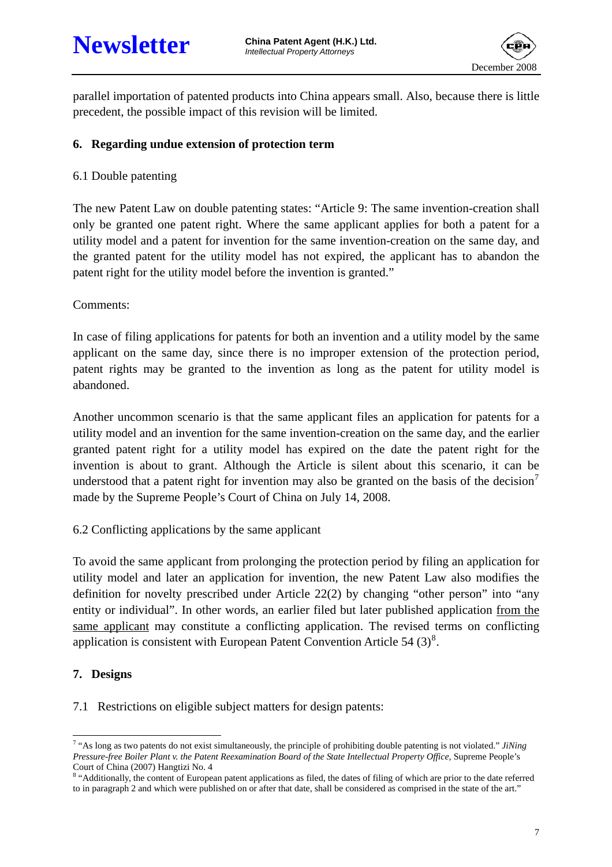

parallel importation of patented products into China appears small. Also, because there is little precedent, the possible impact of this revision will be limited.

#### **6. Regarding undue extension of protection term**

#### 6.1 Double patenting

The new Patent Law on double patenting states: "Article 9: The same invention-creation shall only be granted one patent right. Where the same applicant applies for both a patent for a utility model and a patent for invention for the same invention-creation on the same day, and the granted patent for the utility model has not expired, the applicant has to abandon the patent right for the utility model before the invention is granted."

Comments:

In case of filing applications for patents for both an invention and a utility model by the same applicant on the same day, since there is no improper extension of the protection period, patent rights may be granted to the invention as long as the patent for utility model is abandoned.

Another uncommon scenario is that the same applicant files an application for patents for a utility model and an invention for the same invention-creation on the same day, and the earlier granted patent right for a utility model has expired on the date the patent right for the invention is about to grant. Although the Article is silent about this scenario, it can be understood that a patent right for invention may also be granted on the basis of the decision<sup>[7](#page-6-0)</sup> made by the Supreme People's Court of China on July 14, 2008.

6.2 Conflicting applications by the same applicant

To avoid the same applicant from prolonging the protection period by filing an application for utility model and later an application for invention, the new Patent Law also modifies the definition for novelty prescribed under Article 22(2) by changing "other person" into "any entity or individual". In other words, an earlier filed but later published application from the same applicant may constitute a conflicting application. The revised terms on conflicting application is consistent with European Patent Convention Article 54  $(3)^8$  $(3)^8$ .

#### **7. Designs**

7.1 Restrictions on eligible subject matters for design patents:

<span id="page-6-0"></span> $\overline{a}$ 7 "As long as two patents do not exist simultaneously, the principle of prohibiting double patenting is not violated." *JiNing Pressure-free Boiler Plant v. the Patent Reexamination Board of the State Intellectual Property Office,* Supreme People's Court of China (2007) Hangtizi No. 4

<span id="page-6-1"></span><sup>&</sup>lt;sup>8</sup> "Additionally, the content of European patent applications as filed, the dates of filing of which are prior to the date referred to in paragraph 2 and which were published on or after that date, shall be considered as comprised in the state of the art."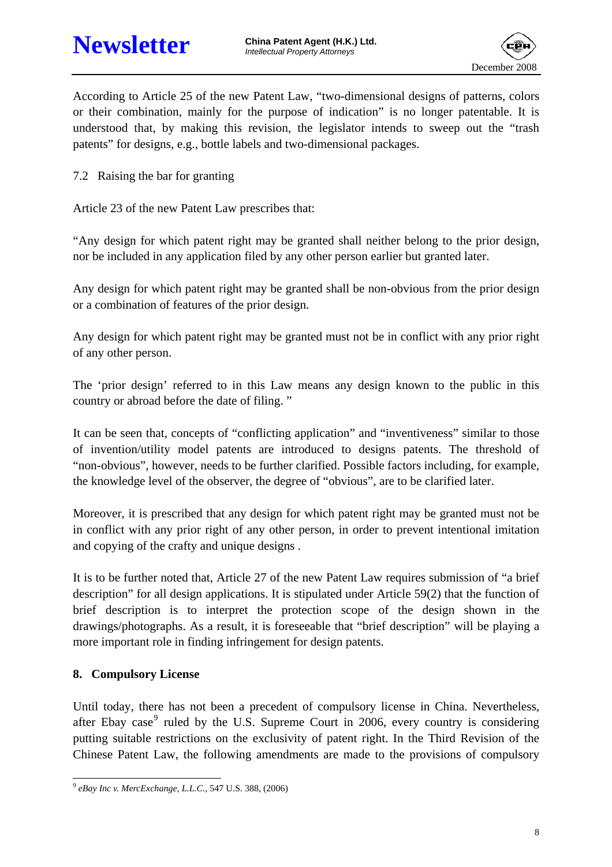

According to Article 25 of the new Patent Law, "two-dimensional designs of patterns, colors or their combination, mainly for the purpose of indication" is no longer patentable. It is understood that, by making this revision, the legislator intends to sweep out the "trash patents" for designs, e.g., bottle labels and two-dimensional packages.

7.2 Raising the bar for granting

Article 23 of the new Patent Law prescribes that:

"Any design for which patent right may be granted shall neither belong to the prior design, nor be included in any application filed by any other person earlier but granted later.

Any design for which patent right may be granted shall be non-obvious from the prior design or a combination of features of the prior design.

Any design for which patent right may be granted must not be in conflict with any prior right of any other person.

The 'prior design' referred to in this Law means any design known to the public in this country or abroad before the date of filing. "

It can be seen that, concepts of "conflicting application" and "inventiveness" similar to those of invention/utility model patents are introduced to designs patents. The threshold of "non-obvious", however, needs to be further clarified. Possible factors including, for example, the knowledge level of the observer, the degree of "obvious", are to be clarified later.

Moreover, it is prescribed that any design for which patent right may be granted must not be in conflict with any prior right of any other person, in order to prevent intentional imitation and copying of the crafty and unique designs .

It is to be further noted that, Article 27 of the new Patent Law requires submission of "a brief description" for all design applications. It is stipulated under Article 59(2) that the function of brief description is to interpret the protection scope of the design shown in the drawings/photographs. As a result, it is foreseeable that "brief description" will be playing a more important role in finding infringement for design patents.

### **8. Compulsory License**

Until today, there has not been a precedent of compulsory license in China. Nevertheless, after Ebay case<sup>[9](#page-7-0)</sup> ruled by the U.S. Supreme Court in 2006, every country is considering putting suitable restrictions on the exclusivity of patent right. In the Third Revision of the Chinese Patent Law, the following amendments are made to the provisions of compulsory

<span id="page-7-0"></span> $\overline{a}$ <sup>9</sup> *eBay Inc v. MercExchange, L.L.C.,* 547 U.S. 388, (2006)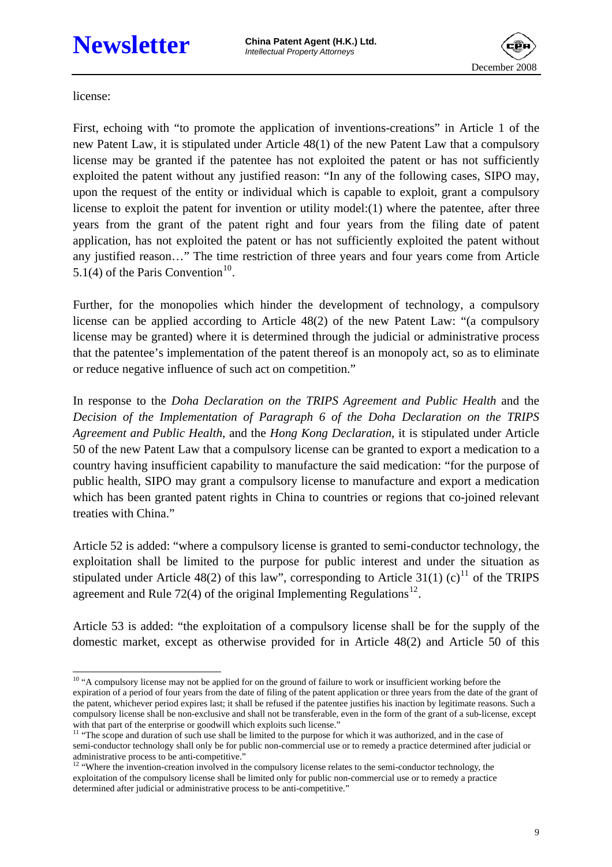

license:

First, echoing with "to promote the application of inventions-creations" in Article 1 of the new Patent Law, it is stipulated under Article 48(1) of the new Patent Law that a compulsory license may be granted if the patentee has not exploited the patent or has not sufficiently exploited the patent without any justified reason: "In any of the following cases, SIPO may, upon the request of the entity or individual which is capable to exploit, grant a compulsory license to exploit the patent for invention or utility model:(1) where the patentee, after three years from the grant of the patent right and four years from the filing date of patent application, has not exploited the patent or has not sufficiently exploited the patent without any justified reason…" The time restriction of three years and four years come from Article 5.1(4) of the Paris Convention<sup>[10](#page-8-0)</sup>.

Further, for the monopolies which hinder the development of technology, a compulsory license can be applied according to Article 48(2) of the new Patent Law: "(a compulsory license may be granted) where it is determined through the judicial or administrative process that the patentee's implementation of the patent thereof is an monopoly act, so as to eliminate or reduce negative influence of such act on competition."

In response to the *Doha Declaration on the TRIPS Agreement and Public Health* and the *Decision of the Implementation of Paragraph 6 of the Doha Declaration on the TRIPS Agreement and Public Health*, and the *Hong Kong Declaration*, it is stipulated under Article 50 of the new Patent Law that a compulsory license can be granted to export a medication to a country having insufficient capability to manufacture the said medication: "for the purpose of public health, SIPO may grant a compulsory license to manufacture and export a medication which has been granted patent rights in China to countries or regions that co-joined relevant treaties with China."

Article 52 is added: "where a compulsory license is granted to semi-conductor technology, the exploitation shall be limited to the purpose for public interest and under the situation as stipulated under Article 48(2) of this law", corresponding to Article 31(1) (c)<sup>[11](#page-8-1)</sup> of the TRIPS agreement and Rule 72(4) of the original Implementing Regulations<sup>[12](#page-8-2)</sup>.

Article 53 is added: "the exploitation of a compulsory license shall be for the supply of the domestic market, except as otherwise provided for in Article 48(2) and Article 50 of this

<span id="page-8-0"></span> $\overline{a}$ <sup>10</sup> "A compulsory license may not be applied for on the ground of failure to work or insufficient working before the expiration of a period of four years from the date of filing of the patent application or three years from the date of the grant of the patent, whichever period expires last; it shall be refused if the patentee justifies his inaction by legitimate reasons. Such a compulsory license shall be non-exclusive and shall not be transferable, even in the form of the grant of a sub-license, except with that part of the enterprise or goodwill which exploits such license."

<span id="page-8-1"></span><sup>&</sup>lt;sup>11</sup> "The scope and duration of such use shall be limited to the purpose for which it was authorized, and in the case of semi-conductor technology shall only be for public non-commercial use or to remedy a practice determined after judicial or administrative process to be anti-competitive."

<span id="page-8-2"></span><sup>&</sup>lt;sup>12</sup> "Where the invention-creation involved in the compulsory license relates to the semi-conductor technology, the exploitation of the compulsory license shall be limited only for public non-commercial use or to remedy a practice determined after judicial or administrative process to be anti-competitive."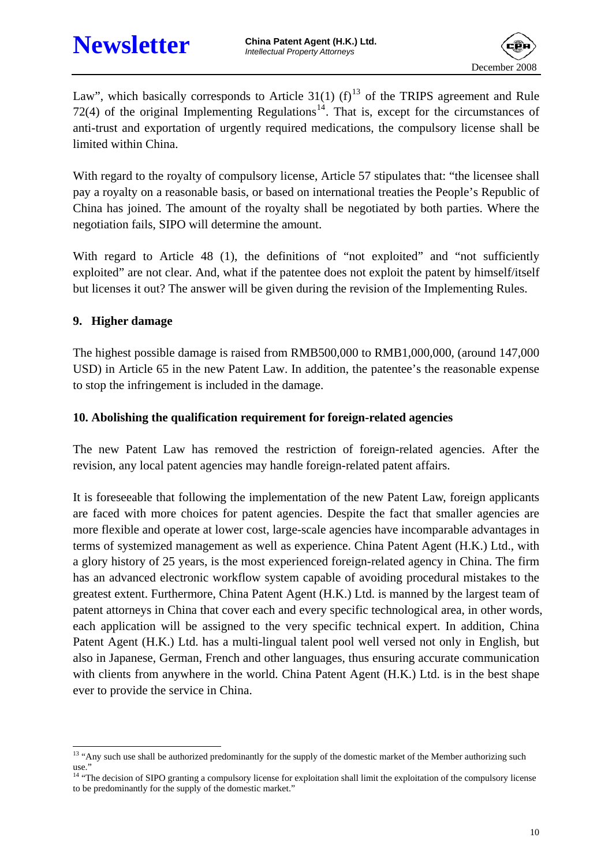

Law", which basically corresponds to Article 31(1) (f)<sup>[13](#page-9-0)</sup> of the TRIPS agreement and Rule 72(4) of the original Implementing Regulations<sup>[14](#page-9-1)</sup>. That is, except for the circumstances of anti-trust and exportation of urgently required medications, the compulsory license shall be limited within China.

With regard to the royalty of compulsory license, Article 57 stipulates that: "the licensee shall pay a royalty on a reasonable basis, or based on international treaties the People's Republic of China has joined. The amount of the royalty shall be negotiated by both parties. Where the negotiation fails, SIPO will determine the amount.

With regard to Article 48 (1), the definitions of "not exploited" and "not sufficiently exploited" are not clear. And, what if the patentee does not exploit the patent by himself/itself but licenses it out? The answer will be given during the revision of the Implementing Rules.

#### **9. Higher damage**

The highest possible damage is raised from RMB500,000 to RMB1,000,000, (around 147,000 USD) in Article 65 in the new Patent Law. In addition, the patentee's the reasonable expense to stop the infringement is included in the damage.

#### **10. Abolishing the qualification requirement for foreign-related agencies**

The new Patent Law has removed the restriction of foreign-related agencies. After the revision, any local patent agencies may handle foreign-related patent affairs.

It is foreseeable that following the implementation of the new Patent Law, foreign applicants are faced with more choices for patent agencies. Despite the fact that smaller agencies are more flexible and operate at lower cost, large-scale agencies have incomparable advantages in terms of systemized management as well as experience. China Patent Agent (H.K.) Ltd., with a glory history of 25 years, is the most experienced foreign-related agency in China. The firm has an advanced electronic workflow system capable of avoiding procedural mistakes to the greatest extent. Furthermore, China Patent Agent (H.K.) Ltd. is manned by the largest team of patent attorneys in China that cover each and every specific technological area, in other words, each application will be assigned to the very specific technical expert. In addition, China Patent Agent (H.K.) Ltd. has a multi-lingual talent pool well versed not only in English, but also in Japanese, German, French and other languages, thus ensuring accurate communication with clients from anywhere in the world. China Patent Agent (H.K.) Ltd. is in the best shape ever to provide the service in China.

<span id="page-9-0"></span> $\overline{a}$ <sup>13</sup> "Any such use shall be authorized predominantly for the supply of the domestic market of the Member authorizing such use."

<span id="page-9-1"></span><sup>&</sup>lt;sup>14</sup> "The decision of SIPO granting a compulsory license for exploitation shall limit the exploitation of the compulsory license to be predominantly for the supply of the domestic market."